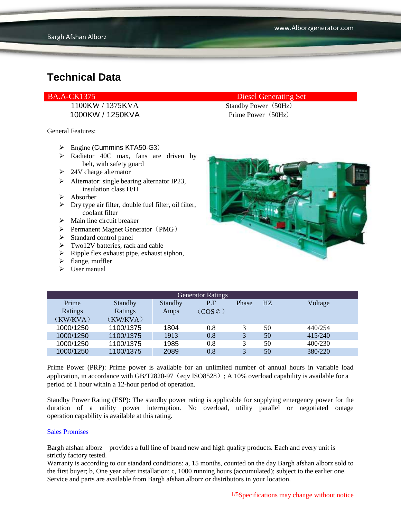1100KW / 1375KVA Standby Power (50Hz) 1000KW / 1250KVA Prime Power (50Hz)

General Features:

- $\triangleright$  Engine (Cummins KTA50-G3)
- $\triangleright$  Radiator 40C max, fans are driven by belt, with safety guard
- $\geq 24V$  charge alternator
- $\triangleright$  Alternator: single bearing alternator IP23, insulation class H/H
- Absorber
- $\triangleright$  Dry type air filter, double fuel filter, oil filter, coolant filter
- $\triangleright$  Main line circuit breaker
- $\triangleright$  Permanent Magnet Generator (PMG)
- $\triangleright$  Standard control panel
- $\triangleright$  Two12V batteries, rack and cable
- $\triangleright$  Ripple flex exhaust pipe, exhaust siphon,
- $\blacktriangleright$  flange, muffler
- $\triangleright$  User manual

#### BA.A-CK1375 Diesel Generating Set



| <b>Generator Ratings</b> |           |                |                     |       |                |         |
|--------------------------|-----------|----------------|---------------------|-------|----------------|---------|
| Prime                    | Standby   | <b>Standby</b> | P.F                 | Phase | H <sub>Z</sub> | Voltage |
| Ratings                  | Ratings   | Amps           | $(COS \mathcal{C})$ |       |                |         |
| (KW/KVA)                 | (KW/KVA)  |                |                     |       |                |         |
| 1000/1250                | 1100/1375 | 1804           | 0.8                 | 3     | 50             | 440/254 |
| 1000/1250                | 1100/1375 | 1913           | 0.8                 | 3     | 50             | 415/240 |
| 1000/1250                | 1100/1375 | 1985           | 0.8                 | 3     | 50             | 400/230 |
| 1000/1250                | 1100/1375 | 2089           | 0.8                 | 3     | 50             | 380/220 |

Prime Power (PRP): Prime power is available for an unlimited number of annual hours in variable load application, in accordance with GB/T2820-97 (eqv ISO8528); A 10% overload capability is available for a period of 1 hour within a 12-hour period of operation.

Standby Power Rating (ESP): The standby power rating is applicable for supplying emergency power for the duration of a utility power interruption. No overload, utility parallel or negotiated outage operation capability is available at this rating.

#### Sales Promises

Bargh afshan alborz provides a full line of brand new and high quality products. Each and every unit is strictly factory tested.

Warranty is according to our standard conditions: a, 15 months, counted on the day Bargh afshan alborz sold to the first buyer; b, One year after installation; c, 1000 running hours (accumulated); subject to the earlier one. Service and parts are available from Bargh afshan alborz or distributors in your location.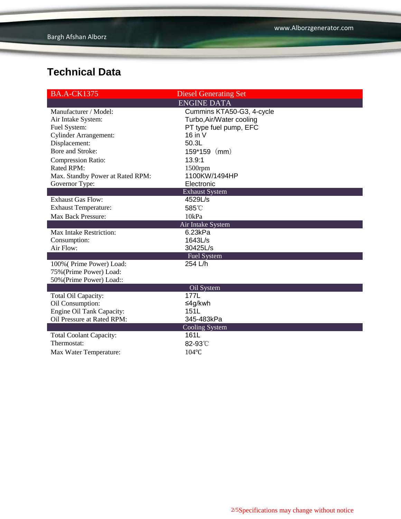| <b>BA.A-CK1375</b>               | <b>Diesel Generating Set</b>  |  |  |  |  |  |
|----------------------------------|-------------------------------|--|--|--|--|--|
|                                  | <b>ENGINE DATA</b>            |  |  |  |  |  |
| Manufacturer / Model:            | Cummins KTA50-G3, 4-cycle     |  |  |  |  |  |
| Air Intake System:               | Turbo, Air/Water cooling      |  |  |  |  |  |
| Fuel System:                     | PT type fuel pump, EFC        |  |  |  |  |  |
| <b>Cylinder Arrangement:</b>     | 16 in V                       |  |  |  |  |  |
| Displacement:                    | 50.3L                         |  |  |  |  |  |
| Bore and Stroke:                 | (mm)<br>159*159               |  |  |  |  |  |
| <b>Compression Ratio:</b>        | 13.9:1                        |  |  |  |  |  |
| Rated RPM:                       | 1500rpm                       |  |  |  |  |  |
| Max. Standby Power at Rated RPM: | 1100KW/1494HP                 |  |  |  |  |  |
| Governor Type:                   | Electronic                    |  |  |  |  |  |
| <b>Exhaust System</b>            |                               |  |  |  |  |  |
| <b>Exhaust Gas Flow:</b>         | 4529L/s                       |  |  |  |  |  |
| <b>Exhaust Temperature:</b>      | 585°C                         |  |  |  |  |  |
| <b>Max Back Pressure:</b>        | 10kPa                         |  |  |  |  |  |
| Air Intake System                |                               |  |  |  |  |  |
| Max Intake Restriction:          | 6.23kPa                       |  |  |  |  |  |
| Consumption:                     | 1643L/s                       |  |  |  |  |  |
| Air Flow:                        | 30425L/s                      |  |  |  |  |  |
|                                  | <b>Fuel System</b>            |  |  |  |  |  |
| 100% (Prime Power) Load:         | 254 L/h                       |  |  |  |  |  |
| 75% (Prime Power) Load:          |                               |  |  |  |  |  |
| 50% (Prime Power) Load::         |                               |  |  |  |  |  |
|                                  | Oil System<br>177L            |  |  |  |  |  |
| Total Oil Capacity:              |                               |  |  |  |  |  |
| Oil Consumption:                 | ≤4g/kwh                       |  |  |  |  |  |
| Engine Oil Tank Capacity:        | 151L<br>345-483kPa            |  |  |  |  |  |
| Oil Pressure at Rated RPM:       |                               |  |  |  |  |  |
| <b>Total Coolant Capacity:</b>   | <b>Cooling System</b><br>161L |  |  |  |  |  |
| Thermostat:                      | 82-93°C                       |  |  |  |  |  |
|                                  |                               |  |  |  |  |  |
| Max Water Temperature:           | 104°C                         |  |  |  |  |  |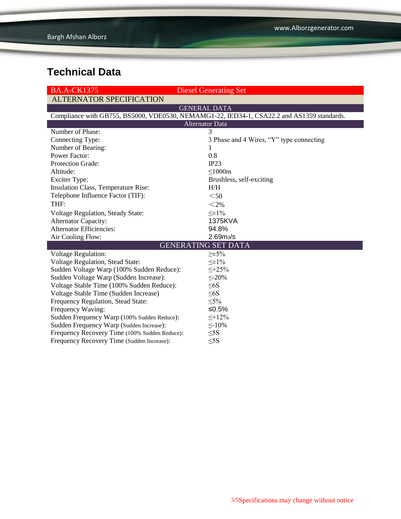| <b>BA.A-CK1375</b>                                                                         | <b>Diesel Generating Set</b>             |  |  |  |  |
|--------------------------------------------------------------------------------------------|------------------------------------------|--|--|--|--|
| <b>ALTERNATOR SPECIFICATION</b>                                                            |                                          |  |  |  |  |
|                                                                                            | <b>GENERAL DATA</b>                      |  |  |  |  |
| Compliance with GB755, BS5000, VDE0530, NEMAMG1-22, IED34-1, CSA22.2 and AS1359 standards. |                                          |  |  |  |  |
| <b>Alternator Data</b>                                                                     |                                          |  |  |  |  |
| Number of Phase:                                                                           | 3                                        |  |  |  |  |
| Connecting Type:                                                                           | 3 Phase and 4 Wires, "Y" type connecting |  |  |  |  |
| Number of Bearing:                                                                         | T                                        |  |  |  |  |
| <b>Power Factor:</b>                                                                       | 0.8                                      |  |  |  |  |
| <b>Protection Grade:</b>                                                                   | IP23                                     |  |  |  |  |
| Altitude:                                                                                  | $\leq$ 1000m                             |  |  |  |  |
| <b>Exciter Type:</b>                                                                       | Brushless, self-exciting                 |  |  |  |  |
| Insulation Class, Temperature Rise:                                                        | H/H                                      |  |  |  |  |
| Telephone Influence Factor (TIF):                                                          | $50$                                     |  |  |  |  |
| THF:                                                                                       | $<$ 2%                                   |  |  |  |  |
| Voltage Regulation, Steady State:                                                          | $\leq \pm 1\%$                           |  |  |  |  |
| <b>Alternator Capacity:</b>                                                                | 1375KVA                                  |  |  |  |  |
| <b>Alternator Efficiencies:</b>                                                            | 94.8%                                    |  |  |  |  |
| Air Cooling Flow:                                                                          | 2.69 <sub>m3</sub> /s                    |  |  |  |  |
|                                                                                            | <b>GENERATING SET DATA</b>               |  |  |  |  |
| <b>Voltage Regulation:</b>                                                                 | $\geq \pm 5\%$                           |  |  |  |  |
| Voltage Regulation, Stead State:                                                           | $\leq \pm 1\%$                           |  |  |  |  |
| Sudden Voltage Warp (100% Sudden Reduce):                                                  | $\leq +25\%$                             |  |  |  |  |
| Sudden Voltage Warp (Sudden Increase):                                                     | $\leq$ -20%                              |  |  |  |  |
| Voltage Stable Time (100% Sudden Reduce):                                                  | $\leq 6S$                                |  |  |  |  |
| Voltage Stable Time (Sudden Increase)                                                      | $\leq 6S$                                |  |  |  |  |
| Frequency Regulation, Stead State:                                                         | $\leq 5\%$                               |  |  |  |  |
| Frequency Waving:                                                                          | ≤0.5%                                    |  |  |  |  |
| Sudden Frequency Warp (100% Sudden Reduce):                                                | $\leq$ +12%                              |  |  |  |  |
| Sudden Frequency Warp (Sudden Increase):                                                   | $\leq$ -10%                              |  |  |  |  |
| Frequency Recovery Time (100% Sudden Reduce):                                              | $\leq$ 5S                                |  |  |  |  |
| Frequency Recovery Time (Sudden Increase):                                                 | $\leq$ 5S                                |  |  |  |  |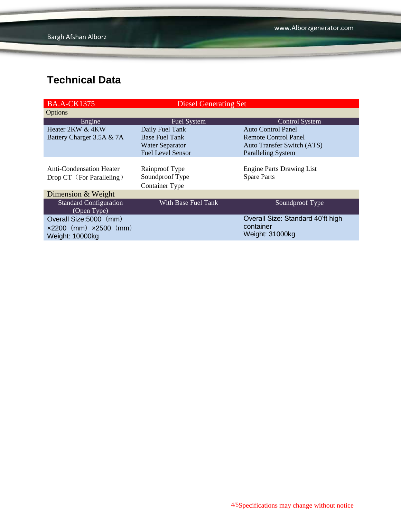| <b>BA.A-CK1375</b>                    | <b>Diesel Generating Set</b> |                                   |
|---------------------------------------|------------------------------|-----------------------------------|
| Options                               |                              |                                   |
| Engine                                | <b>Fuel System</b>           | <b>Control System</b>             |
| Heater 2KW & 4KW                      | Daily Fuel Tank              | Auto Control Panel                |
| Battery Charger 3.5A & 7A             | <b>Base Fuel Tank</b>        | Remote Control Panel              |
|                                       | <b>Water Separator</b>       | <b>Auto Transfer Switch (ATS)</b> |
|                                       | <b>Fuel Level Sensor</b>     | <b>Paralleling System</b>         |
|                                       |                              |                                   |
| Anti-Condensation Heater              | Rainproof Type               | <b>Engine Parts Drawing List</b>  |
| Drop CT (For Paralleling)             | Soundproof Type              | <b>Spare Parts</b>                |
|                                       | <b>Container Type</b>        |                                   |
| Dimension & Weight                    |                              |                                   |
| <b>Standard Configuration</b>         | With Base Fuel Tank          | Soundproof Type                   |
| (Open Type)                           |                              |                                   |
| Overall Size:5000 (mm)                |                              | Overall Size: Standard 40'ft high |
| $\times 2200$ (mm) $\times 2500$ (mm) |                              | container                         |
| Weight: 10000kg                       |                              | Weight: 31000kg                   |